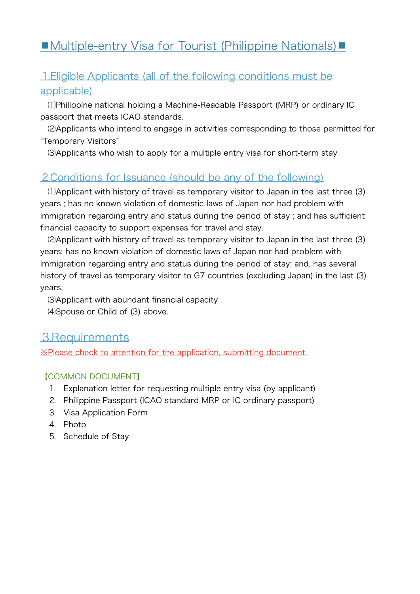# ■Multiple-entry Visa for Tourist (Philippine Nationals)■

## ⒈Eligible Applicants (all of the following conditions must be applicable)

 ⑴Philippine national holding a Machine-Readable Passport (MRP) or ordinary IC passport that meets ICAO standards.

 ⑵Applicants who intend to engage in activities corresponding to those permitted for "Temporary Visitors"

⑶Applicants who wish to apply for a multiple entry visa for short-term stay

## ⒉Conditions for Issuance (should be any of the following)

 ⑴Applicant with history of travel as temporary visitor to Japan in the last three (3) years ; has no known violation of domestic laws of Japan nor had problem with immigration regarding entry and status during the period of stay ; and has sufficient financial capacity to support expenses for travel and stay.

 ⑵Applicant with history of travel as temporary visitor to Japan in the last three (3) years; has no known violation of domestic laws of Japan nor had problem with immigration regarding entry and status during the period of stay; and, has several history of travel as temporary visitor to G7 countries (excluding Japan) in the last (3) years.

 ⑶Applicant with abundant financial capacity ⑷Spouse or Child of (3) above.

# 3.Requirements

※Please check to attention for the application, submitting document.

### 【COMMON DOCUMENT】

- ⒈ Explanation letter for requesting multiple entry visa (by applicant)
- ⒉ Philippine Passport (ICAO standard MRP or IC ordinary passport)
- ⒊ Visa Application Form
- ⒋ Photo
- ⒌ Schedule of Stay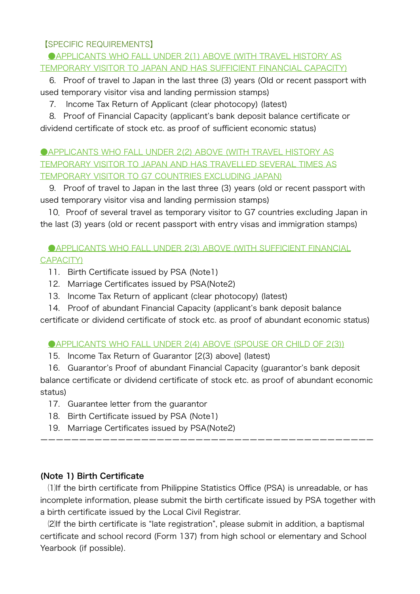#### 【SPECIFIC REQUIREMENTS】

#### **CAPPLICANTS WHO FALL UNDER 2(1) ABOVE (WITH TRAVEL HISTORY AS** TEMPORARY VISITOR TO JAPAN AND HAS SUFFICIENT FINANCIAL CAPACITY)

 ⒍ Proof of travel to Japan in the last three (3) years (Old or recent passport with used temporary visitor visa and landing permission stamps)

⒎ Income Tax Return of Applicant (clear photocopy) (latest)

 ⒏ Proof of Financial Capacity (applicant's bank deposit balance certificate or dividend certificate of stock etc. as proof of sufficient economic status)

### **CAPPLICANTS WHO FALL UNDER 2(2) ABOVE (WITH TRAVEL HISTORY AS** TEMPORARY VISITOR TO JAPAN AND HAS TRAVELLED SEVERAL TIMES AS TEMPORARY VISITOR TO G7 COUNTRIES EXCLUDING JAPAN)

9. Proof of travel to Japan in the last three (3) years (old or recent passport with used temporary visitor visa and landing permission stamps)

10. Proof of several travel as temporary visitor to G7 countries excluding Japan in the last (3) years (old or recent passport with entry visas and immigration stamps)

**CAPPLICANTS WHO FALL UNDER 2(3) ABOVE (WITH SUFFICIENT FINANCIAL** CAPACITY)

- 11. Birth Certificate issued by PSA (Note1)
- 12. Marriage Certificates issued by PSA(Note2)
- 13. Income Tax Return of applicant (clear photocopy) (latest)
- 14. Proof of abundant Financial Capacity (applicant's bank deposit balance

certificate or dividend certificate of stock etc. as proof of abundant economic status)

#### **CAPPLICANTS WHO FALL UNDER 2(4) ABOVE (SPOUSE OR CHILD OF 2(3))**

15. Income Tax Return of Guarantor [2(3) above] (latest)

 16. Guarantor's Proof of abundant Financial Capacity (guarantor's bank deposit balance certificate or dividend certificate of stock etc. as proof of abundant economic status)

- 17. Guarantee letter from the guarantor
- 18. Birth Certificate issued by PSA (Note1)
- 19. Marriage Certificates issued by PSA(Note2)

#### (Note 1) Birth Certificate

(1) If the birth certificate from Philippine Statistics Office (PSA) is unreadable, or has incomplete information, please submit the birth certificate issued by PSA together with a birth certificate issued by the Local Civil Registrar.

ーーーーーーーーーーーーーーーーーーーーーーーーーーーーーーーーーーーーーーーーーーー

(2) If the birth certificate is "late registration", please submit in addition, a baptismal certificate and school record (Form 137) from high school or elementary and School Yearbook (if possible).